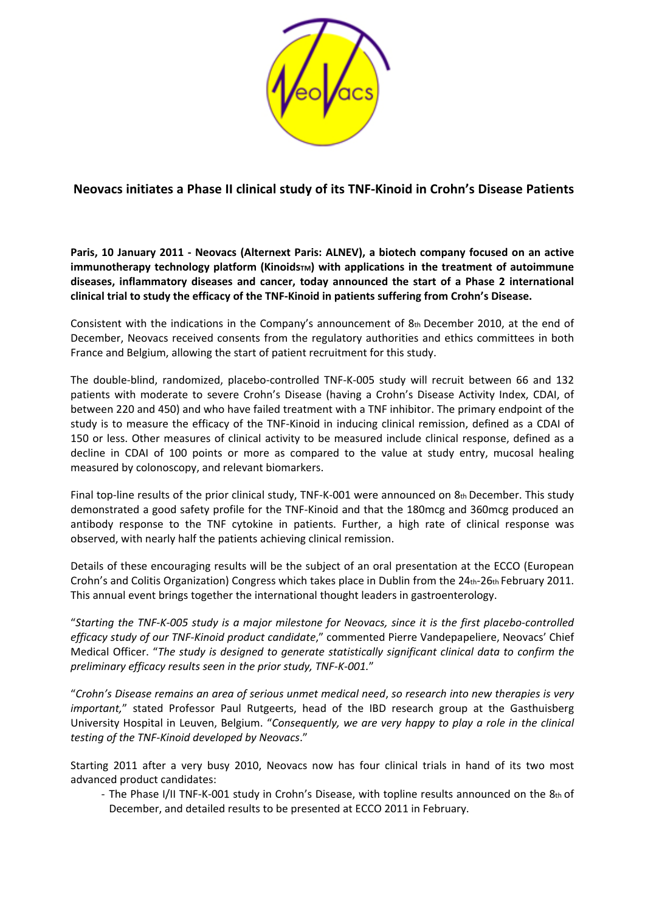

## **Neovacs initiates a Phase II clinical study of its TNF‐Kinoid in Crohn's Disease Patients**

**Paris, 10 January 2011 ‐ Neovacs (Alternext Paris: ALNEV), a biotech company focused on an active immunotherapy technology platform (KinoidsTM) with applications in the treatment of autoimmune diseases, inflammatory diseases and cancer, today announced the start of a Phase 2 international** clinical trial to study the efficacy of the TNF-Kinoid in patients suffering from Crohn's Disease.

Consistent with the indications in the Company's announcement of  $8<sub>th</sub>$  December 2010, at the end of December, Neovacs received consents from the regulatory authorities and ethics committees in both France and Belgium, allowing the start of patient recruitment for this study.

The double‐blind, randomized, placebo‐controlled TNF‐K‐005 study will recruit between 66 and 132 patients with moderate to severe Crohn's Disease (having a Crohn's Disease Activity Index, CDAI, of between 220 and 450) and who have failed treatment with a TNF inhibitor. The primary endpoint of the study is to measure the efficacy of the TNF‐Kinoid in inducing clinical remission, defined as a CDAI of 150 or less. Other measures of clinical activity to be measured include clinical response, defined as a decline in CDAI of 100 points or more as compared to the value at study entry, mucosal healing measured by colonoscopy, and relevant biomarkers.

Final top‐line results of the prior clinical study, TNF‐K‐001 were announced on 8th December. This study demonstrated a good safety profile for the TNF‐Kinoid and that the 180mcg and 360mcg produced an antibody response to the TNF cytokine in patients. Further, a high rate of clinical response was observed, with nearly half the patients achieving clinical remission.

Details of these encouraging results will be the subject of an oral presentation at the ECCO (European Crohn's and Colitis Organization) Congress which takes place in Dublin from the  $24$ th- $26$ th February 2011. This annual event brings together the international thought leaders in gastroenterology.

"Starting the TNF-K-005 study is a major milestone for Neovacs, since it is the first placebo-controlled *efficacy study of our TNF‐Kinoid product candidate*," commented Pierre Vandepapeliere, Neovacs' Chief Medical Officer. "*The study is designed to generate statistically significant clinical data to confirm the preliminary efficacy results seen in the prior study, TNF‐K‐001.*"

"*Crohn's Disease remains an area of serious unmet medical need*, *so research into new therapies is very important,*" stated Professor Paul Rutgeerts, head of the IBD research group at the Gasthuisberg University Hospital in Leuven, Belgium. "*Consequently, we are very happy to play a role in the clinical testing of the TNF‐Kinoid developed by Neovacs*."

Starting 2011 after a very busy 2010, Neovacs now has four clinical trials in hand of its two most advanced product candidates:

‐ The Phase I/II TNF‐K‐001 study in Crohn's Disease, with topline results announced on the 8th of December, and detailed results to be presented at ECCO 2011 in February.